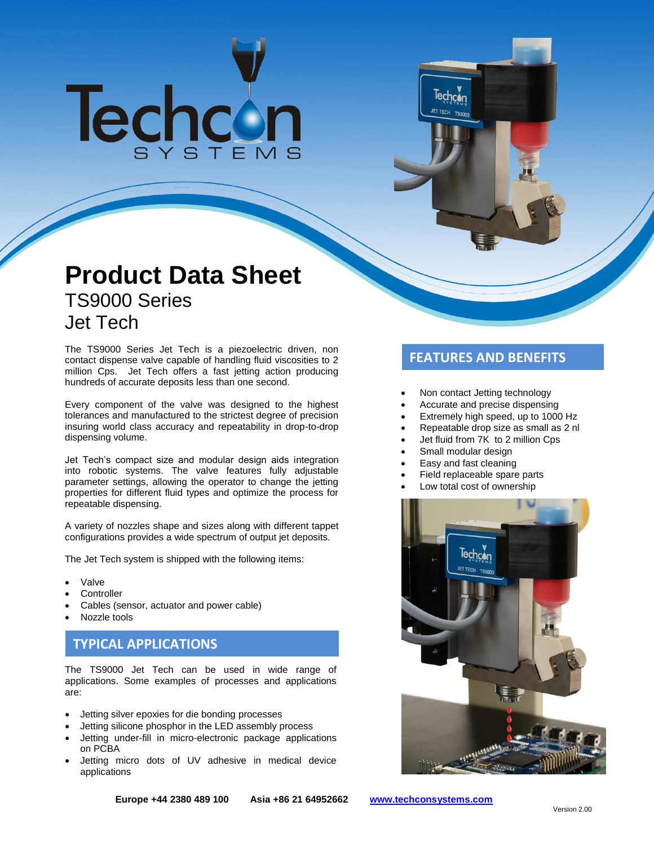# Techcon

# **Product Data Sheet** TS9000 Series Jet Tech

The TS9000 Series Jet Tech is a piezoelectric driven, non **FEATURES AND BENEFITS**<br>contact dispense valve capable of handling fluid viscosities to 2 million Cps. Jet Tech offers a fast jetting action producing hundreds of accurate deposits less than one second.

Every component of the valve was designed to the highest tolerances and manufactured to the strictest degree of precision insuring world class accuracy and repeatability in drop-to-drop dispensing volume.

Jet Tech's compact size and modular design aids integration into robotic systems. The valve features fully adjustable parameter settings, allowing the operator to change the jetting properties for different fluid types and optimize the process for repeatable dispensing.

A variety of nozzles shape and sizes along with different tappet configurations provides a wide spectrum of output jet deposits.

The Jet Tech system is shipped with the following items:

- Valve
- **Controller**
- Cables (sensor, actuator and power cable)
- Nozzle tools

# **TYPICAL APPLICATIONS**

The TS9000 Jet Tech can be used in wide range of applications. Some examples of processes and applications are:

- Jetting silver epoxies for die bonding processes
- Jetting silicone phosphor in the LED assembly process
- Jetting under-fill in micro-electronic package applications on PCBA
- Jetting micro dots of UV adhesive in medical device applications

- Non contact Jetting technology
- Accurate and precise dispensing
- Extremely high speed, up to 1000 Hz
- Repeatable drop size as small as 2 nl
- Jet fluid from 7K to 2 million Cps
- Small modular design

Techcon

- Easy and fast cleaning
- Field replaceable spare parts
- Low total cost of ownership

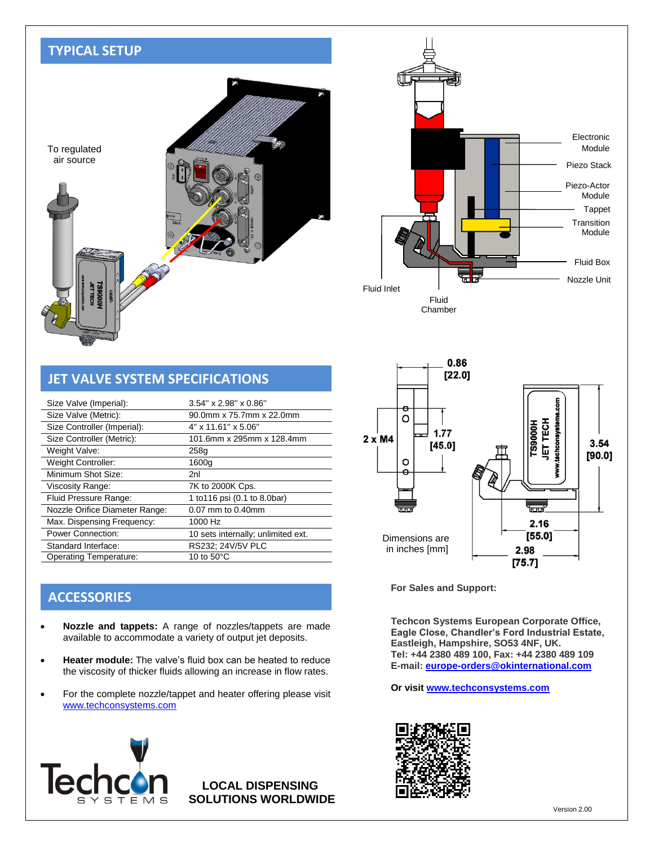# **TYPICAL SETUP**





| <b>JET VALVE SYSTEM SPECIFICATIONS</b> |                                    |  |
|----------------------------------------|------------------------------------|--|
| Size Valve (Imperial):                 | $3.54$ " x $2.98$ " x $0.86$ "     |  |
| Size Valve (Metric):                   | 90.0mm x 75.7mm x 22.0mm           |  |
| Size Controller (Imperial):            | 4" x 11.61" x 5.06"                |  |
| Size Controller (Metric):              | 101.6mm x 295mm x 128.4mm          |  |
| Weight Valve:                          | 258g                               |  |
| Weight Controller:                     | 1600g                              |  |
| Minimum Shot Size:                     | 2nl                                |  |
| Viscosity Range:                       | 7K to 2000K Cps.                   |  |
| Fluid Pressure Range:                  | 1 to 116 psi (0.1 to 8.0bar)       |  |
| Nozzle Orifice Diameter Range:         | 0.07 mm to 0.40mm                  |  |
| Max. Dispensing Frequency:             | 1000 Hz                            |  |
| <b>Power Connection:</b>               | 10 sets internally; unlimited ext. |  |
| Standard Interface:                    | RS232; 24V/5V PLC                  |  |
| <b>Operating Temperature:</b>          | 10 to $50^{\circ}$ C               |  |
|                                        |                                    |  |

# **ACCESSORIES**

- **Nozzle and tappets:** A range of nozzles/tappets are made available to accommodate a variety of output jet deposits.
- **Heater module:** The valve's fluid box can be heated to reduce the viscosity of thicker fluids allowing an increase in flow rates.
- For the complete nozzle/tappet and heater offering please visit [www.techconsystems.com](http://www.techconsystems.com/)



**LOCAL DISPENSING SOLUTIONS WORLDWIDE**



**For Sales and Support:**

**Techcon Systems European Corporate Office, Eagle Close, Chandler's Ford Industrial Estate, Eastleigh, Hampshire, SO53 4NF, UK. Tel: +44 2380 489 100, Fax: +44 2380 489 109 E-mail[: europe-orders@okinternational.com](mailto:europe-orders@okinternational.com)**

**Or visit [www.techconsystems.com](http://www.techconsystems.com/)**